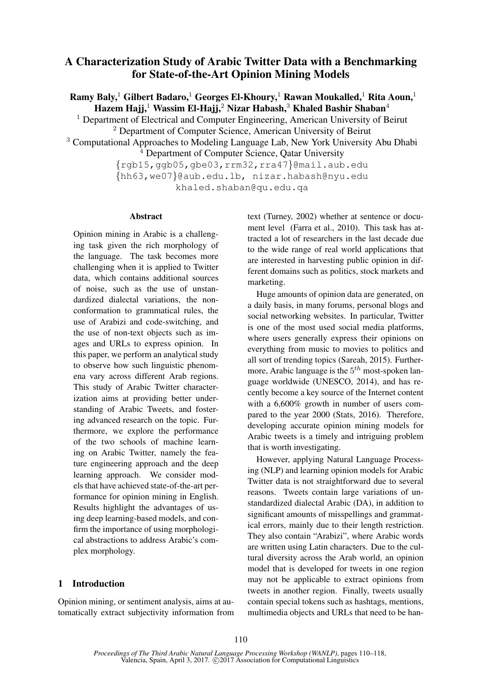# A Characterization Study of Arabic Twitter Data with a Benchmarking for State-of-the-Art Opinion Mining Models

Ramy Baly,<sup>1</sup> Gilbert Badaro,<sup>1</sup> Georges El-Khoury,<sup>1</sup> Rawan Moukalled,<sup>1</sup> Rita Aoun,<sup>1</sup> Hazem Hajj,<sup>1</sup> Wassim El-Hajj,<sup>2</sup> Nizar Habash,<sup>3</sup> Khaled Bashir Shaban<sup>4</sup>

<sup>1</sup> Department of Electrical and Computer Engineering, American University of Beirut

<sup>2</sup> Department of Computer Science, American University of Beirut

<sup>3</sup> Computational Approaches to Modeling Language Lab, New York University Abu Dhabi

<sup>4</sup> Department of Computer Science, Qatar University

{rgb15,ggb05,gbe03,rrm32,rra47}@mail.aub.edu {hh63,we07}@aub.edu.lb, nizar.habash@nyu.edu khaled.shaban@qu.edu.qa

#### Abstract

Opinion mining in Arabic is a challenging task given the rich morphology of the language. The task becomes more challenging when it is applied to Twitter data, which contains additional sources of noise, such as the use of unstandardized dialectal variations, the nonconformation to grammatical rules, the use of Arabizi and code-switching, and the use of non-text objects such as images and URLs to express opinion. In this paper, we perform an analytical study to observe how such linguistic phenomena vary across different Arab regions. This study of Arabic Twitter characterization aims at providing better understanding of Arabic Tweets, and fostering advanced research on the topic. Furthermore, we explore the performance of the two schools of machine learning on Arabic Twitter, namely the feature engineering approach and the deep learning approach. We consider models that have achieved state-of-the-art performance for opinion mining in English. Results highlight the advantages of using deep learning-based models, and confirm the importance of using morphological abstractions to address Arabic's complex morphology.

## 1 Introduction

Opinion mining, or sentiment analysis, aims at automatically extract subjectivity information from text (Turney, 2002) whether at sentence or document level (Farra et al., 2010). This task has attracted a lot of researchers in the last decade due to the wide range of real world applications that are interested in harvesting public opinion in different domains such as politics, stock markets and marketing.

Huge amounts of opinion data are generated, on a daily basis, in many forums, personal blogs and social networking websites. In particular, Twitter is one of the most used social media platforms, where users generally express their opinions on everything from music to movies to politics and all sort of trending topics (Sareah, 2015). Furthermore, Arabic language is the  $5<sup>th</sup>$  most-spoken language worldwide (UNESCO, 2014), and has recently become a key source of the Internet content with a 6,600% growth in number of users compared to the year 2000 (Stats, 2016). Therefore, developing accurate opinion mining models for Arabic tweets is a timely and intriguing problem that is worth investigating.

However, applying Natural Language Processing (NLP) and learning opinion models for Arabic Twitter data is not straightforward due to several reasons. Tweets contain large variations of unstandardized dialectal Arabic (DA), in addition to significant amounts of misspellings and grammatical errors, mainly due to their length restriction. They also contain "Arabizi", where Arabic words are written using Latin characters. Due to the cultural diversity across the Arab world, an opinion model that is developed for tweets in one region may not be applicable to extract opinions from tweets in another region. Finally, tweets usually contain special tokens such as hashtags, mentions, multimedia objects and URLs that need to be han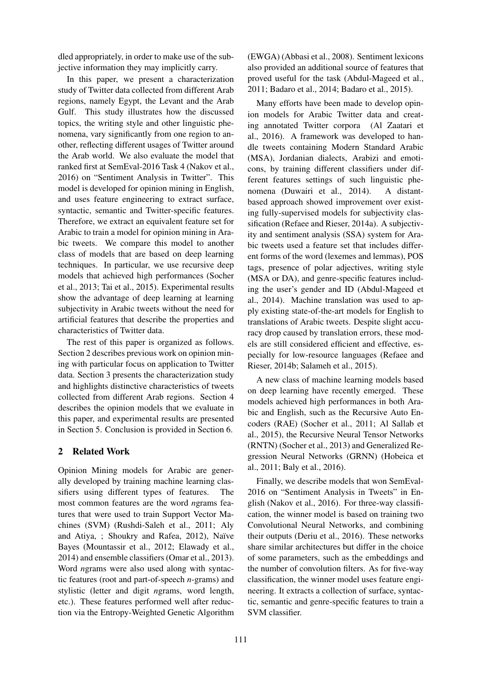dled appropriately, in order to make use of the subjective information they may implicitly carry.

In this paper, we present a characterization study of Twitter data collected from different Arab regions, namely Egypt, the Levant and the Arab Gulf. This study illustrates how the discussed topics, the writing style and other linguistic phenomena, vary significantly from one region to another, reflecting different usages of Twitter around the Arab world. We also evaluate the model that ranked first at SemEval-2016 Task 4 (Nakov et al., 2016) on "Sentiment Analysis in Twitter". This model is developed for opinion mining in English, and uses feature engineering to extract surface, syntactic, semantic and Twitter-specific features. Therefore, we extract an equivalent feature set for Arabic to train a model for opinion mining in Arabic tweets. We compare this model to another class of models that are based on deep learning techniques. In particular, we use recursive deep models that achieved high performances (Socher et al., 2013; Tai et al., 2015). Experimental results show the advantage of deep learning at learning subjectivity in Arabic tweets without the need for artificial features that describe the properties and characteristics of Twitter data.

The rest of this paper is organized as follows. Section 2 describes previous work on opinion mining with particular focus on application to Twitter data. Section 3 presents the characterization study and highlights distinctive characteristics of tweets collected from different Arab regions. Section 4 describes the opinion models that we evaluate in this paper, and experimental results are presented in Section 5. Conclusion is provided in Section 6.

## 2 Related Work

Opinion Mining models for Arabic are generally developed by training machine learning classifiers using different types of features. The most common features are the word *n*grams features that were used to train Support Vector Machines (SVM) (Rushdi-Saleh et al., 2011; Aly and Atiya, ; Shoukry and Rafea, 2012), Naïve Bayes (Mountassir et al., 2012; Elawady et al., 2014) and ensemble classifiers (Omar et al., 2013). Word *n*grams were also used along with syntactic features (root and part-of-speech *n*-grams) and stylistic (letter and digit *n*grams, word length, etc.). These features performed well after reduction via the Entropy-Weighted Genetic Algorithm

(EWGA) (Abbasi et al., 2008). Sentiment lexicons also provided an additional source of features that proved useful for the task (Abdul-Mageed et al., 2011; Badaro et al., 2014; Badaro et al., 2015).

Many efforts have been made to develop opinion models for Arabic Twitter data and creating annotated Twitter corpora (Al Zaatari et al., 2016). A framework was developed to handle tweets containing Modern Standard Arabic (MSA), Jordanian dialects, Arabizi and emoticons, by training different classifiers under different features settings of such linguistic phenomena (Duwairi et al., 2014). A distantbased approach showed improvement over existing fully-supervised models for subjectivity classification (Refaee and Rieser, 2014a). A subjectivity and sentiment analysis (SSA) system for Arabic tweets used a feature set that includes different forms of the word (lexemes and lemmas), POS tags, presence of polar adjectives, writing style (MSA or DA), and genre-specific features including the user's gender and ID (Abdul-Mageed et al., 2014). Machine translation was used to apply existing state-of-the-art models for English to translations of Arabic tweets. Despite slight accuracy drop caused by translation errors, these models are still considered efficient and effective, especially for low-resource languages (Refaee and Rieser, 2014b; Salameh et al., 2015).

A new class of machine learning models based on deep learning have recently emerged. These models achieved high performances in both Arabic and English, such as the Recursive Auto Encoders (RAE) (Socher et al., 2011; Al Sallab et al., 2015), the Recursive Neural Tensor Networks (RNTN) (Socher et al., 2013) and Generalized Regression Neural Networks (GRNN) (Hobeica et al., 2011; Baly et al., 2016).

Finally, we describe models that won SemEval-2016 on "Sentiment Analysis in Tweets" in English (Nakov et al., 2016). For three-way classification, the winner model is based on training two Convolutional Neural Networks, and combining their outputs (Deriu et al., 2016). These networks share similar architectures but differ in the choice of some parameters, such as the embeddings and the number of convolution filters. As for five-way classification, the winner model uses feature engineering. It extracts a collection of surface, syntactic, semantic and genre-specific features to train a SVM classifier.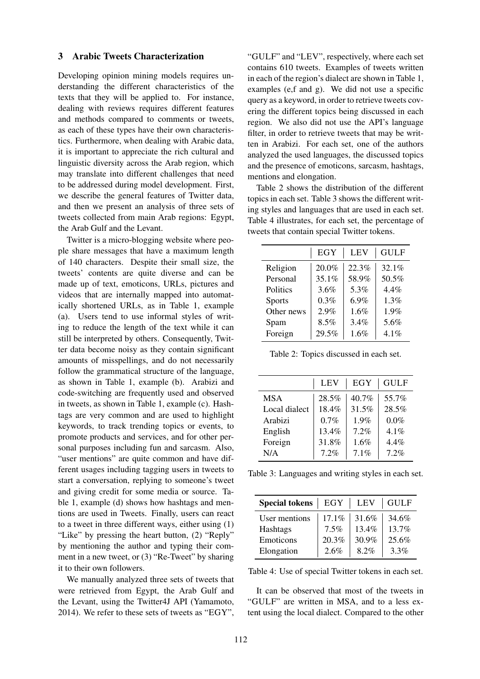#### 3 Arabic Tweets Characterization

Developing opinion mining models requires understanding the different characteristics of the texts that they will be applied to. For instance, dealing with reviews requires different features and methods compared to comments or tweets, as each of these types have their own characteristics. Furthermore, when dealing with Arabic data, it is important to appreciate the rich cultural and linguistic diversity across the Arab region, which may translate into different challenges that need to be addressed during model development. First, we describe the general features of Twitter data, and then we present an analysis of three sets of tweets collected from main Arab regions: Egypt, the Arab Gulf and the Levant.

Twitter is a micro-blogging website where people share messages that have a maximum length of 140 characters. Despite their small size, the tweets' contents are quite diverse and can be made up of text, emoticons, URLs, pictures and videos that are internally mapped into automatically shortened URLs, as in Table 1, example (a). Users tend to use informal styles of writing to reduce the length of the text while it can still be interpreted by others. Consequently, Twitter data become noisy as they contain significant amounts of misspellings, and do not necessarily follow the grammatical structure of the language, as shown in Table 1, example (b). Arabizi and code-switching are frequently used and observed in tweets, as shown in Table 1, example (c). Hashtags are very common and are used to highlight keywords, to track trending topics or events, to promote products and services, and for other personal purposes including fun and sarcasm. Also, "user mentions" are quite common and have different usages including tagging users in tweets to start a conversation, replying to someone's tweet and giving credit for some media or source. Table 1, example (d) shows how hashtags and mentions are used in Tweets. Finally, users can react to a tweet in three different ways, either using (1) "Like" by pressing the heart button, (2) "Reply" by mentioning the author and typing their comment in a new tweet, or (3) "Re-Tweet" by sharing it to their own followers.

We manually analyzed three sets of tweets that were retrieved from Egypt, the Arab Gulf and the Levant, using the Twitter4J API (Yamamoto, 2014). We refer to these sets of tweets as "EGY",

"GULF" and "LEV", respectively, where each set contains 610 tweets. Examples of tweets written in each of the region's dialect are shown in Table 1, examples (e,f and g). We did not use a specific query as a keyword, in order to retrieve tweets covering the different topics being discussed in each region. We also did not use the API's language filter, in order to retrieve tweets that may be written in Arabizi. For each set, one of the authors analyzed the used languages, the discussed topics and the presence of emoticons, sarcasm, hashtags, mentions and elongation.

Table 2 shows the distribution of the different topics in each set. Table 3 shows the different writing styles and languages that are used in each set. Table 4 illustrates, for each set, the percentage of tweets that contain special Twitter tokens.

|            | EGY   | <b>LEV</b> | <b>GULF</b> |
|------------|-------|------------|-------------|
| Religion   | 20.0% | 22.3%      | 32.1%       |
| Personal   | 35.1% | 58.9%      | 50.5%       |
| Politics   | 3.6%  | 5.3%       | 4.4%        |
| Sports     | 0.3%  | 6.9%       | 1.3%        |
| Other news | 2.9%  | 1.6%       | 1.9%        |
| Spam       | 8.5%  | 3.4%       | 5.6%        |
| Foreign    | 29.5% | 1.6%       | 4.1%        |

Table 2: Topics discussed in each set.

|               | <b>LEV</b> | EGY   | <b>GULF</b> |
|---------------|------------|-------|-------------|
| <b>MSA</b>    | 28.5%      | 40.7% | 55.7%       |
| Local dialect | 18.4%      | 31.5% | 28.5%       |
| Arabizi       | 0.7%       | 1.9%  | $0.0\%$     |
| English       | 13.4%      | 7.2%  | 4.1%        |
| Foreign       | 31.8%      | 1.6%  | 4.4%        |
| N/A           | 7.2%       | 7.1%  | 7.2%        |

Table 3: Languages and writing styles in each set.

| <b>Special tokens</b> | EGY      | <b>LEV</b> | <b>GULF</b> |
|-----------------------|----------|------------|-------------|
| User mentions         | $17.1\%$ | 31.6%      | 34.6%       |
| Hashtags              | 7.5%     | 13.4%      | 13.7%       |
| Emoticons             | 20.3%    | 30.9%      | 25.6%       |
| Elongation            | 2.6%     | 8.2%       | $3.3\%$     |

Table 4: Use of special Twitter tokens in each set.

It can be observed that most of the tweets in "GULF" are written in MSA, and to a less extent using the local dialect. Compared to the other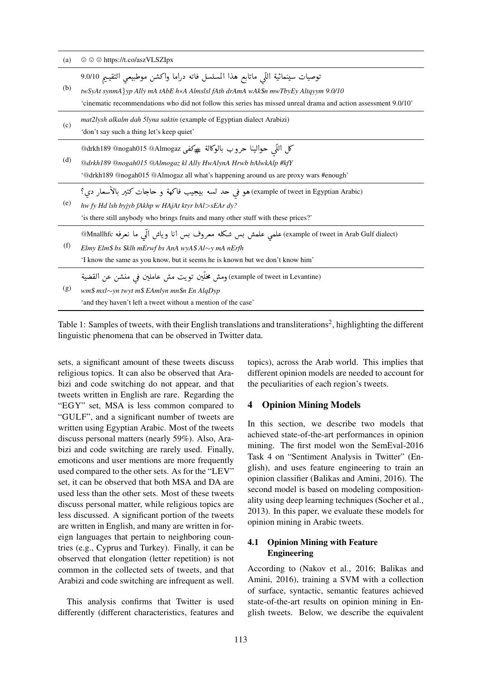| (a) | $\circledcirc$ $\circledcirc$ https://t.co/aszVLSZIpx                                                                                                                                                                                                                                      |
|-----|--------------------------------------------------------------------------------------------------------------------------------------------------------------------------------------------------------------------------------------------------------------------------------------------|
| (b) | توصيات سينمائية اللَّي ماتابع هذا المسلسل فاته دراما واكشن موطبيعي التقييم 9.0/10<br>twSyAt synmA} yp Ally mA tAbE h*A Almslsl fAth drAmA wAk\$n mwTbyEy Altqyym 9.0/10<br>'cinematic recommendations who did not follow this series has missed unreal drama and action assessment 9.0/10' |
| (c) | mat2lysh alkalm dah 5lyna saktin (example of Egyptian dialect Arabizi)<br>'don't say such a thing let's keep quiet'                                                                                                                                                                        |
| (d) | كل اللَّي حوالينا حروب بالوكالة #كفي @drkh189 @nogah015 @Almogaz<br>@drkh189 @nogah015 @Almogaz kl Ally HwAlynA Hrwb bAlwkAlp #kfY<br>'@drkh189 @nogah015 @Almogaz all what's happening around us are proxy wars #enough'                                                                  |
| (e) | (example of tweet in Egyptian Arabic)هو في حد لسه بيجيب فاكهة و حاجات كتير بالأسعار دى؟<br>hw fy Hd lsh byjyb fAkhp w HAjAt ktyr bAl>sEAr dy?<br>'is there still anybody who brings fruits and many other stuff with these prices?'                                                        |
| (f) | (example of tweet in Arab Gulf dialect) علمي علمش بس شكله معروف بس انا وياش الَّى ما نعرفه Mnallhfc@<br>Elmy Elm\$ bs \$klh mErwf bs AnA wyA\$ Al $\sim$ y mA nErfh<br>'I know the same as you know, but it seems he is known but we don't know him'                                       |
| (g) | (example of tweet in Levantine) ومش مخلَّين تويت مش عاملين في منشن عن القضية<br>wm\$ mxl~yn twyt m\$ EAmlyn mn\$n En AlqDyp<br>'and they haven't left a tweet without a mention of the case'                                                                                               |

Table 1: Samples of tweets, with their English translations and transliterations<sup>2</sup>, highlighting the different linguistic phenomena that can be observed in Twitter data.

sets, a significant amount of these tweets discuss religious topics. It can also be observed that Arabizi and code switching do not appear, and that tweets written in English are rare. Regarding the "EGY" set, MSA is less common compared to "GULF", and a significant number of tweets are written using Egyptian Arabic. Most of the tweets discuss personal matters (nearly 59%). Also, Arabizi and code switching are rarely used. Finally, emoticons and user mentions are more frequently used compared to the other sets. As for the "LEV" set, it can be observed that both MSA and DA are used less than the other sets. Most of these tweets discuss personal matter, while religious topics are less discussed. A significant portion of the tweets are written in English, and many are written in foreign languages that pertain to neighboring countries (e.g., Cyprus and Turkey). Finally, it can be observed that elongation (letter repetition) is not common in the collected sets of tweets, and that Arabizi and code switching are infrequent as well.

This analysis confirms that Twitter is used differently (different characteristics, features and topics), across the Arab world. This implies that different opinion models are needed to account for the peculiarities of each region's tweets.

### 4 Opinion Mining Models

In this section, we describe two models that achieved state-of-the-art performances in opinion mining. The first model won the SemEval-2016 Task 4 on "Sentiment Analysis in Twitter" (English), and uses feature engineering to train an opinion classifier (Balikas and Amini, 2016). The second model is based on modeling compositionality using deep learning techniques (Socher et al., 2013). In this paper, we evaluate these models for opinion mining in Arabic tweets.

### 4.1 Opinion Mining with Feature Engineering

According to (Nakov et al., 2016; Balikas and Amini, 2016), training a SVM with a collection of surface, syntactic, semantic features achieved state-of-the-art results on opinion mining in English tweets. Below, we describe the equivalent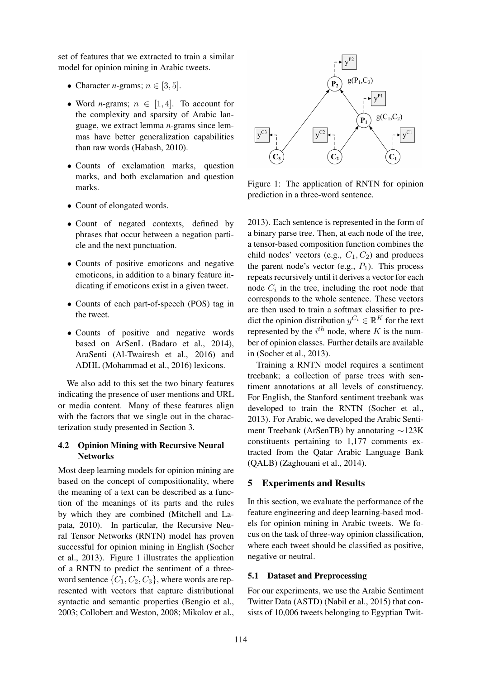set of features that we extracted to train a similar model for opinion mining in Arabic tweets.

- Character *n*-grams;  $n \in [3, 5]$ .
- Word *n*-grams;  $n \in [1, 4]$ . To account for the complexity and sparsity of Arabic language, we extract lemma *n*-grams since lemmas have better generalization capabilities than raw words (Habash, 2010).
- Counts of exclamation marks, question marks, and both exclamation and question marks.
- Count of elongated words.
- Count of negated contexts, defined by phrases that occur between a negation particle and the next punctuation.
- Counts of positive emoticons and negative emoticons, in addition to a binary feature indicating if emoticons exist in a given tweet.
- Counts of each part-of-speech (POS) tag in the tweet.
- Counts of positive and negative words based on ArSenL (Badaro et al., 2014), AraSenti (Al-Twairesh et al., 2016) and ADHL (Mohammad et al., 2016) lexicons.

We also add to this set the two binary features indicating the presence of user mentions and URL or media content. Many of these features align with the factors that we single out in the characterization study presented in Section 3.

### 4.2 Opinion Mining with Recursive Neural **Networks**

Most deep learning models for opinion mining are based on the concept of compositionality, where the meaning of a text can be described as a function of the meanings of its parts and the rules by which they are combined (Mitchell and Lapata, 2010). In particular, the Recursive Neural Tensor Networks (RNTN) model has proven successful for opinion mining in English (Socher et al., 2013). Figure 1 illustrates the application of a RNTN to predict the sentiment of a threeword sentence  $\{C_1, C_2, C_3\}$ , where words are represented with vectors that capture distributional syntactic and semantic properties (Bengio et al., 2003; Collobert and Weston, 2008; Mikolov et al.,



Figure 1: The application of RNTN for opinion prediction in a three-word sentence.

2013). Each sentence is represented in the form of a binary parse tree. Then, at each node of the tree, a tensor-based composition function combines the child nodes' vectors (e.g.,  $C_1$ ,  $C_2$ ) and produces the parent node's vector (e.g.,  $P_1$ ). This process repeats recursively until it derives a vector for each node  $C_i$  in the tree, including the root node that corresponds to the whole sentence. These vectors are then used to train a softmax classifier to predict the opinion distribution  $y^{C_i} \in \mathbb{R}^K$  for the text represented by the  $i^{th}$  node, where K is the number of opinion classes. Further details are available in (Socher et al., 2013).

Training a RNTN model requires a sentiment treebank; a collection of parse trees with sentiment annotations at all levels of constituency. For English, the Stanford sentiment treebank was developed to train the RNTN (Socher et al., 2013). For Arabic, we developed the Arabic Sentiment Treebank (ArSenTB) by annotating ∼123K constituents pertaining to 1,177 comments extracted from the Qatar Arabic Language Bank (QALB) (Zaghouani et al., 2014).

## 5 Experiments and Results

In this section, we evaluate the performance of the feature engineering and deep learning-based models for opinion mining in Arabic tweets. We focus on the task of three-way opinion classification, where each tweet should be classified as positive, negative or neutral.

### 5.1 Dataset and Preprocessing

For our experiments, we use the Arabic Sentiment Twitter Data (ASTD) (Nabil et al., 2015) that consists of 10,006 tweets belonging to Egyptian Twit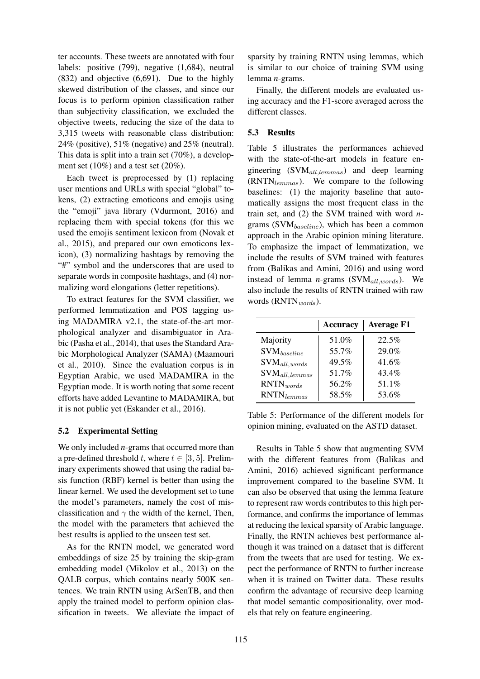ter accounts. These tweets are annotated with four labels: positive (799), negative (1,684), neutral (832) and objective (6,691). Due to the highly skewed distribution of the classes, and since our focus is to perform opinion classification rather than subjectivity classification, we excluded the objective tweets, reducing the size of the data to 3,315 tweets with reasonable class distribution: 24% (positive), 51% (negative) and 25% (neutral). This data is split into a train set (70%), a development set (10%) and a test set (20%).

Each tweet is preprocessed by (1) replacing user mentions and URLs with special "global" tokens, (2) extracting emoticons and emojis using the "emoji" java library (Vdurmont, 2016) and replacing them with special tokens (for this we used the emojis sentiment lexicon from (Novak et al., 2015), and prepared our own emoticons lexicon), (3) normalizing hashtags by removing the "#" symbol and the underscores that are used to separate words in composite hashtags, and (4) normalizing word elongations (letter repetitions).

To extract features for the SVM classifier, we performed lemmatization and POS tagging using MADAMIRA v2.1, the state-of-the-art morphological analyzer and disambiguator in Arabic (Pasha et al., 2014), that uses the Standard Arabic Morphological Analyzer (SAMA) (Maamouri et al., 2010). Since the evaluation corpus is in Egyptian Arabic, we used MADAMIRA in the Egyptian mode. It is worth noting that some recent efforts have added Levantine to MADAMIRA, but it is not public yet (Eskander et al., 2016).

### 5.2 Experimental Setting

We only included *n*-grams that occurred more than a pre-defined threshold t, where  $t \in [3, 5]$ . Preliminary experiments showed that using the radial basis function (RBF) kernel is better than using the linear kernel. We used the development set to tune the model's parameters, namely the cost of misclassification and  $\gamma$  the width of the kernel, Then, the model with the parameters that achieved the best results is applied to the unseen test set.

As for the RNTN model, we generated word embeddings of size 25 by training the skip-gram embedding model (Mikolov et al., 2013) on the QALB corpus, which contains nearly 500K sentences. We train RNTN using ArSenTB, and then apply the trained model to perform opinion classification in tweets. We alleviate the impact of

sparsity by training RNTN using lemmas, which is similar to our choice of training SVM using lemma *n*-grams.

Finally, the different models are evaluated using accuracy and the F1-score averaged across the different classes.

### 5.3 Results

Table 5 illustrates the performances achieved with the state-of-the-art models in feature engineering  $(SVM_{all,lemmas})$  and deep learning  $(RNTN<sub>lemmas</sub>)$ . We compare to the following baselines: (1) the majority baseline that automatically assigns the most frequent class in the train set, and (2) the SVM trained with word *n*grams ( $\text{SVM}_{baseline}$ ), which has been a common approach in the Arabic opinion mining literature. To emphasize the impact of lemmatization, we include the results of SVM trained with features from (Balikas and Amini, 2016) and using word instead of lemma *n*-grams (SVM $_{all, words}$ ). We also include the results of RNTN trained with raw words  $(RNTN_{words})$ .

|                                             | <b>Accuracy</b> | <b>Average F1</b> |
|---------------------------------------------|-----------------|-------------------|
| Majority                                    | 51.0%           | 22.5%             |
| $SVM_{baseline}$                            | 55.7%           | 29.0%             |
| $SVM_{all, words}$                          | 49.5%           | 41.6%             |
| $\text{SVM}_{\textit{all},\textit{lemmas}}$ | 51.7%           | 43.4%             |
| RNTN <sub>words</sub>                       | 56.2%           | 51.1%             |
| $RNTN$ <sub>lemmas</sub>                    | 58.5%           | 53.6%             |

Table 5: Performance of the different models for opinion mining, evaluated on the ASTD dataset.

Results in Table 5 show that augmenting SVM with the different features from (Balikas and Amini, 2016) achieved significant performance improvement compared to the baseline SVM. It can also be observed that using the lemma feature to represent raw words contributes to this high performance, and confirms the importance of lemmas at reducing the lexical sparsity of Arabic language. Finally, the RNTN achieves best performance although it was trained on a dataset that is different from the tweets that are used for testing. We expect the performance of RNTN to further increase when it is trained on Twitter data. These results confirm the advantage of recursive deep learning that model semantic compositionality, over models that rely on feature engineering.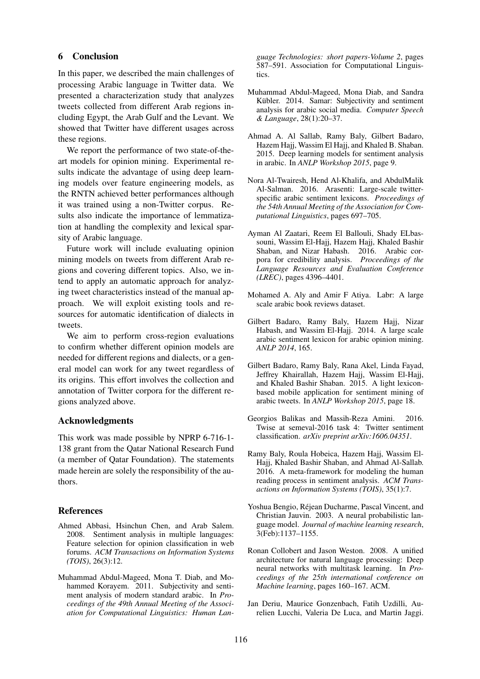#### 6 Conclusion

In this paper, we described the main challenges of processing Arabic language in Twitter data. We presented a characterization study that analyzes tweets collected from different Arab regions including Egypt, the Arab Gulf and the Levant. We showed that Twitter have different usages across these regions.

We report the performance of two state-of-theart models for opinion mining. Experimental results indicate the advantage of using deep learning models over feature engineering models, as the RNTN achieved better performances although it was trained using a non-Twitter corpus. Results also indicate the importance of lemmatization at handling the complexity and lexical sparsity of Arabic language.

Future work will include evaluating opinion mining models on tweets from different Arab regions and covering different topics. Also, we intend to apply an automatic approach for analyzing tweet characteristics instead of the manual approach. We will exploit existing tools and resources for automatic identification of dialects in tweets.

We aim to perform cross-region evaluations to confirm whether different opinion models are needed for different regions and dialects, or a general model can work for any tweet regardless of its origins. This effort involves the collection and annotation of Twitter corpora for the different regions analyzed above.

#### Acknowledgments

This work was made possible by NPRP 6-716-1- 138 grant from the Qatar National Research Fund (a member of Qatar Foundation). The statements made herein are solely the responsibility of the authors.

#### References

- Ahmed Abbasi, Hsinchun Chen, and Arab Salem. 2008. Sentiment analysis in multiple languages: Feature selection for opinion classification in web forums. *ACM Transactions on Information Systems (TOIS)*, 26(3):12.
- Muhammad Abdul-Mageed, Mona T. Diab, and Mohammed Korayem. 2011. Subjectivity and sentiment analysis of modern standard arabic. In *Proceedings of the 49th Annual Meeting of the Association for Computational Linguistics: Human Lan-*

*guage Technologies: short papers-Volume 2*, pages 587–591. Association for Computational Linguistics.

- Muhammad Abdul-Mageed, Mona Diab, and Sandra Kübler. 2014. Samar: Subjectivity and sentiment analysis for arabic social media. *Computer Speech & Language*, 28(1):20–37.
- Ahmad A. Al Sallab, Ramy Baly, Gilbert Badaro, Hazem Hajj, Wassim El Hajj, and Khaled B. Shaban. 2015. Deep learning models for sentiment analysis in arabic. In *ANLP Workshop 2015*, page 9.
- Nora Al-Twairesh, Hend Al-Khalifa, and AbdulMalik Al-Salman. 2016. Arasenti: Large-scale twitterspecific arabic sentiment lexicons. *Proceedings of the 54th Annual Meeting of the Association for Computational Linguistics*, pages 697–705.
- Ayman Al Zaatari, Reem El Ballouli, Shady ELbassouni, Wassim El-Hajj, Hazem Hajj, Khaled Bashir Shaban, and Nizar Habash. 2016. Arabic corpora for credibility analysis. *Proceedings of the Language Resources and Evaluation Conference (LREC)*, pages 4396–4401.
- Mohamed A. Aly and Amir F Atiya. Labr: A large scale arabic book reviews dataset.
- Gilbert Badaro, Ramy Baly, Hazem Hajj, Nizar Habash, and Wassim El-Hajj. 2014. A large scale arabic sentiment lexicon for arabic opinion mining. *ANLP 2014*, 165.
- Gilbert Badaro, Ramy Baly, Rana Akel, Linda Fayad, Jeffrey Khairallah, Hazem Hajj, Wassim El-Hajj, and Khaled Bashir Shaban. 2015. A light lexiconbased mobile application for sentiment mining of arabic tweets. In *ANLP Workshop 2015*, page 18.
- Georgios Balikas and Massih-Reza Amini. 2016. Twise at semeval-2016 task 4: Twitter sentiment classification. *arXiv preprint arXiv:1606.04351*.
- Ramy Baly, Roula Hobeica, Hazem Hajj, Wassim El-Hajj, Khaled Bashir Shaban, and Ahmad Al-Sallab. 2016. A meta-framework for modeling the human reading process in sentiment analysis. *ACM Transactions on Information Systems (TOIS)*, 35(1):7.
- Yoshua Bengio, Rejean Ducharme, Pascal Vincent, and ´ Christian Jauvin. 2003. A neural probabilistic language model. *Journal of machine learning research*, 3(Feb):1137–1155.
- Ronan Collobert and Jason Weston. 2008. A unified architecture for natural language processing: Deep neural networks with multitask learning. In *Proceedings of the 25th international conference on Machine learning*, pages 160–167. ACM.
- Jan Deriu, Maurice Gonzenbach, Fatih Uzdilli, Aurelien Lucchi, Valeria De Luca, and Martin Jaggi.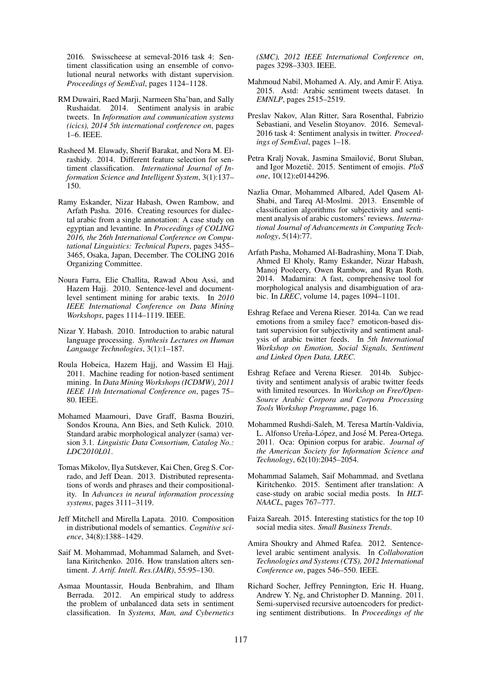2016. Swisscheese at semeval-2016 task 4: Sentiment classification using an ensemble of convolutional neural networks with distant supervision. *Proceedings of SemEval*, pages 1124–1128.

- RM Duwairi, Raed Marji, Narmeen Sha'ban, and Sally Rushaidat. 2014. Sentiment analysis in arabic tweets. In *Information and communication systems (icics), 2014 5th international conference on*, pages 1–6. IEEE.
- Rasheed M. Elawady, Sherif Barakat, and Nora M. Elrashidy. 2014. Different feature selection for sentiment classification. *International Journal of Information Science and Intelligent System*, 3(1):137– 150.
- Ramy Eskander, Nizar Habash, Owen Rambow, and Arfath Pasha. 2016. Creating resources for dialectal arabic from a single annotation: A case study on egyptian and levantine. In *Proceedings of COLING 2016, the 26th International Conference on Computational Linguistics: Technical Papers*, pages 3455– 3465, Osaka, Japan, December. The COLING 2016 Organizing Committee.
- Noura Farra, Elie Challita, Rawad Abou Assi, and Hazem Hajj. 2010. Sentence-level and documentlevel sentiment mining for arabic texts. In *2010 IEEE International Conference on Data Mining Workshops*, pages 1114–1119. IEEE.
- Nizar Y. Habash. 2010. Introduction to arabic natural language processing. *Synthesis Lectures on Human Language Technologies*, 3(1):1–187.
- Roula Hobeica, Hazem Hajj, and Wassim El Hajj. 2011. Machine reading for notion-based sentiment mining. In *Data Mining Workshops (ICDMW), 2011 IEEE 11th International Conference on*, pages 75– 80. IEEE.
- Mohamed Maamouri, Dave Graff, Basma Bouziri, Sondos Krouna, Ann Bies, and Seth Kulick. 2010. Standard arabic morphological analyzer (sama) version 3.1. *Linguistic Data Consortium, Catalog No.: LDC2010L01*.
- Tomas Mikolov, Ilya Sutskever, Kai Chen, Greg S. Corrado, and Jeff Dean. 2013. Distributed representations of words and phrases and their compositionality. In *Advances in neural information processing systems*, pages 3111–3119.
- Jeff Mitchell and Mirella Lapata. 2010. Composition in distributional models of semantics. *Cognitive science*, 34(8):1388–1429.
- Saif M. Mohammad, Mohammad Salameh, and Svetlana Kiritchenko. 2016. How translation alters sentiment. *J. Artif. Intell. Res.(JAIR)*, 55:95–130.
- Asmaa Mountassir, Houda Benbrahim, and Ilham Berrada. 2012. An empirical study to address the problem of unbalanced data sets in sentiment classification. In *Systems, Man, and Cybernetics*

*(SMC), 2012 IEEE International Conference on*, pages 3298–3303. IEEE.

- Mahmoud Nabil, Mohamed A. Aly, and Amir F. Atiya. 2015. Astd: Arabic sentiment tweets dataset. In *EMNLP*, pages 2515–2519.
- Preslav Nakov, Alan Ritter, Sara Rosenthal, Fabrizio Sebastiani, and Veselin Stoyanov. 2016. Semeval-2016 task 4: Sentiment analysis in twitter. *Proceedings of SemEval*, pages 1–18.
- Petra Kralj Novak, Jasmina Smailovic, Borut Sluban, ´ and Igor Mozetič. 2015. Sentiment of emojis. PloS *one*, 10(12):e0144296.
- Nazlia Omar, Mohammed Albared, Adel Qasem Al-Shabi, and Tareq Al-Moslmi. 2013. Ensemble of classification algorithms for subjectivity and sentiment analysis of arabic customers' reviews. *International Journal of Advancements in Computing Technology*, 5(14):77.
- Arfath Pasha, Mohamed Al-Badrashiny, Mona T. Diab, Ahmed El Kholy, Ramy Eskander, Nizar Habash, Manoj Pooleery, Owen Rambow, and Ryan Roth. 2014. Madamira: A fast, comprehensive tool for morphological analysis and disambiguation of arabic. In *LREC*, volume 14, pages 1094–1101.
- Eshrag Refaee and Verena Rieser. 2014a. Can we read emotions from a smiley face? emoticon-based distant supervision for subjectivity and sentiment analysis of arabic twitter feeds. In *5th International Workshop on Emotion, Social Signals, Sentiment and Linked Open Data, LREC*.
- Eshrag Refaee and Verena Rieser. 2014b. Subjectivity and sentiment analysis of arabic twitter feeds with limited resources. In *Workshop on Free/Open-Source Arabic Corpora and Corpora Processing Tools Workshop Programme*, page 16.
- Mohammed Rushdi-Saleh, M. Teresa Martín-Valdivia, L. Alfonso Ureña-López, and José M. Perea-Ortega. 2011. Oca: Opinion corpus for arabic. *Journal of the American Society for Information Science and Technology*, 62(10):2045–2054.
- Mohammad Salameh, Saif Mohammad, and Svetlana Kiritchenko. 2015. Sentiment after translation: A case-study on arabic social media posts. In *HLT-NAACL*, pages 767–777.
- Faiza Sareah. 2015. Interesting statistics for the top 10 social media sites. *Small Business Trends*.
- Amira Shoukry and Ahmed Rafea. 2012. Sentencelevel arabic sentiment analysis. In *Collaboration Technologies and Systems (CTS), 2012 International Conference on*, pages 546–550. IEEE.
- Richard Socher, Jeffrey Pennington, Eric H. Huang, Andrew Y. Ng, and Christopher D. Manning. 2011. Semi-supervised recursive autoencoders for predicting sentiment distributions. In *Proceedings of the*